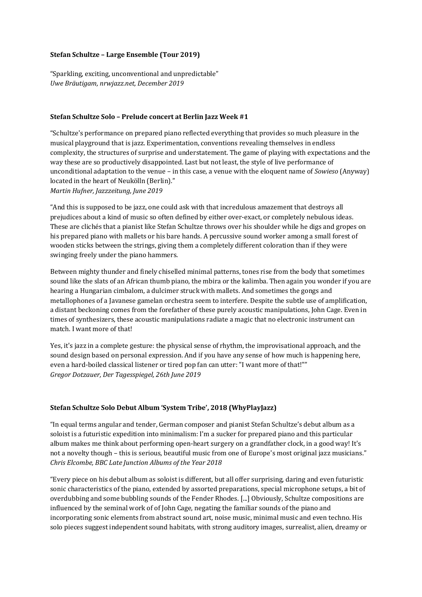#### **Stefan Schultze – Large Ensemble (Tour 2019)**

"Sparkling, exciting, unconventional and unpredictable" *Uwe Bräutigam, nrwjazz.net, December 2019*

#### **Stefan Schultze Solo – Prelude concert at Berlin Jazz Week #1**

"Schultze's performance on prepared piano reflected everything that provides so much pleasure in the musical playground that is jazz. Experimentation, conventions revealing themselves in endless complexity, the structures of surprise and understatement. The game of playing with expectations and the way these are so productively disappointed. Last but not least, the style of live performance of unconditional adaptation to the venue – in this case, a venue with the eloquent name of *Sowieso* (Anyway) located in the heart of Neukölln (Berlin)." *Martin Hufner, Jazzzeitung, June 2019*

"And this is supposed to be jazz, one could ask with that incredulous amazement that destroys all prejudices about a kind of music so often defined by either over-exact, or completely nebulous ideas. These are clichés that a pianist like Stefan Schultze throws over his shoulder while he digs and gropes on his prepared piano with mallets or his bare hands. A percussive sound worker among a small forest of wooden sticks between the strings, giving them a completely different coloration than if they were swinging freely under the piano hammers.

Between mighty thunder and finely chiselled minimal patterns, tones rise from the body that sometimes sound like the slats of an African thumb piano, the mbira or the kalimba. Then again you wonder if you are hearing a Hungarian cimbalom, a dulcimer struck with mallets. And sometimes the gongs and metallophones of a Javanese gamelan orchestra seem to interfere. Despite the subtle use of amplification, a distant beckoning comes from the forefather of these purely acoustic manipulations, John Cage. Even in times of synthesizers, these acoustic manipulations radiate a magic that no electronic instrument can match. I want more of that!

Yes, it's jazz in a complete gesture: the physical sense of rhythm, the improvisational approach, and the sound design based on personal expression. And if you have any sense of how much is happening here, even a hard-boiled classical listener or tired pop fan can utter: "I want more of that!"" *Gregor Dotzauer, Der Tagesspiegel, 26th June 2019*

#### **Stefan Schultze Solo Debut Album 'System Tribe', 2018 (WhyPlayJazz)**

"In equal terms angular and tender, German composer and pianist Stefan Schultze's debut album as a soloist is a futuristic expedition into minimalism: I'm a sucker for prepared piano and this particular album makes me think about performing open-heart surgery on a grandfather clock, in a good way! It's not a novelty though - this is serious, beautiful music from one of Europe's most original jazz musicians." *Chris Elcombe, BBC Late Junction Albums of the Year 2018*

"Every piece on his debut album as soloist is different, but all offer surprising, daring and even futuristic sonic characteristics of the piano, extended by assorted preparations, special microphone setups, a bit of overdubbing and some bubbling sounds of the Fender Rhodes. [...] Obviously, Schultze compositions are influenced by the seminal work of of John Cage, negating the familiar sounds of the piano and incorporating sonic elements from abstract sound art, noise music, minimal music and even techno. His solo pieces suggest independent sound habitats, with strong auditory images, surrealist, alien, dreamy or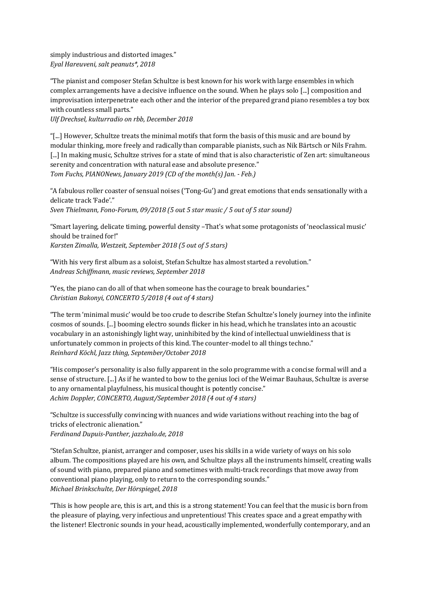simply industrious and distorted images." *Eyal Hareuveni, salt peanuts\*, 2018*

"The pianist and composer Stefan Schultze is best known for his work with large ensembles in which complex arrangements have a decisive influence on the sound. When he plays solo [...] composition and improvisation interpenetrate each other and the interior of the prepared grand piano resembles a toy box with countless small parts."

*Ulf Drechsel, kulturradio on rbb, December 2018*

"[...] However, Schultze treats the minimal motifs that form the basis of this music and are bound by modular thinking, more freely and radically than comparable pianists, such as Nik Bärtsch or Nils Frahm. [...] In making music, Schultze strives for a state of mind that is also characteristic of Zen art: simultaneous serenity and concentration with natural ease and absolute presence." Tom Fuchs, PIANONews, January 2019 (CD of the month(s) Jan. - Feb.)

"A fabulous roller coaster of sensual noises ('Tong-Gu') and great emotions that ends sensationally with a delicate track 'Fade'." Sven Thielmann, Fono-Forum, 09/2018 (5 out 5 star music / 5 out of 5 star sound)

"Smart layering, delicate timing, powerful density -That's what some protagonists of 'neoclassical music' should be trained for!" *Karsten Zimalla, Westzeit, September 2018 (5 out of 5 stars)*

"With his very first album as a soloist, Stefan Schultze has almost started a revolution." *Andreas Schiffmann, music reviews, September 2018*

"Yes, the piano can do all of that when someone has the courage to break boundaries." *Christian Bakonyi, CONCERTO 5/2018 (4 out of 4 stars)*

"The term 'minimal music' would be too crude to describe Stefan Schultze's lonely journey into the infinite cosmos of sounds. [...] booming electro sounds flicker in his head, which he translates into an acoustic vocabulary in an astonishingly light way, uninhibited by the kind of intellectual unwieldiness that is unfortunately common in projects of this kind. The counter-model to all things techno." *Reinhard Köchl, Jazz thing, September/October 2018*

"His composer's personality is also fully apparent in the solo programme with a concise formal will and a sense of structure. [...] As if he wanted to bow to the genius loci of the Weimar Bauhaus, Schultze is averse to any ornamental playfulness, his musical thought is potently concise." *Achim Doppler, CONCERTO, August/September 2018 (4 out of 4 stars)*

"Schultze is successfully convincing with nuances and wide variations without reaching into the bag of tricks of electronic alienation." *Ferdinand Dupuis-Panther, jazzhalo.de, 2018*

"Stefan Schultze, pianist, arranger and composer, uses his skills in a wide variety of ways on his solo album. The compositions played are his own, and Schultze plays all the instruments himself, creating walls of sound with piano, prepared piano and sometimes with multi-track recordings that move away from conventional piano playing, only to return to the corresponding sounds." *Michael Brinkschulte, Der Hörspiegel, 2018* 

"This is how people are, this is art, and this is a strong statement! You can feel that the music is born from the pleasure of playing, very infectious and unpretentious! This creates space and a great empathy with the listener! Electronic sounds in your head, acoustically implemented, wonderfully contemporary, and an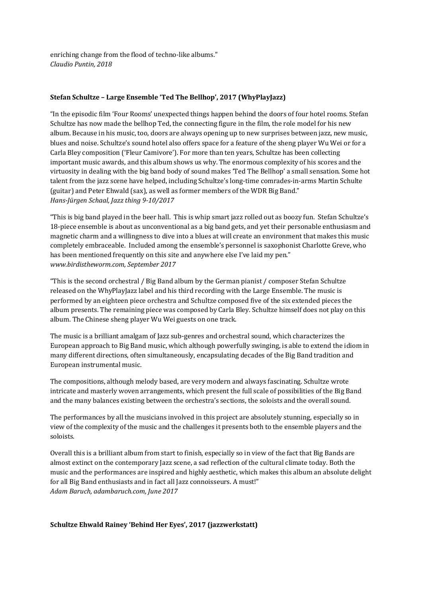enriching change from the flood of techno-like albums." *Claudio Puntin, 2018*

# **Stefan Schultze - Large Ensemble 'Ted The Bellhop', 2017 (WhyPlayJazz)**

"In the episodic film 'Four Rooms' unexpected things happen behind the doors of four hotel rooms. Stefan Schultze has now made the bellhop Ted, the connecting figure in the film, the role model for his new album. Because in his music, too, doors are always opening up to new surprises between jazz, new music, blues and noise. Schultze's sound hotel also offers space for a feature of the sheng player Wu Wei or for a Carla Bley composition ('Fleur Camiyore'). For more than ten years, Schultze has been collecting important music awards, and this album shows us why. The enormous complexity of his scores and the virtuosity in dealing with the big band body of sound makes 'Ted The Bellhop' a small sensation. Some hot talent from the jazz scene have helped, including Schultze's long-time comrades-in-arms Martin Schulte (guitar) and Peter Ehwald (sax), as well as former members of the WDR Big Band." *Hans-Jürgen Schaal, Jazz thing 9-10/2017*

"This is big band played in the beer hall. This is whip smart jazz rolled out as boozy fun. Stefan Schultze's 18-piece ensemble is about as unconventional as a big band gets, and yet their personable enthusiasm and magnetic charm and a willingness to dive into a blues at will create an environment that makes this music completely embraceable. Included among the ensemble's personnel is saxophonist Charlotte Greve, who has been mentioned frequently on this site and anywhere else I've laid my pen." *www.birdistheworm.com, September 2017* 

"This is the second orchestral  $/$  Big Band album by the German pianist  $/$  composer Stefan Schultze released on the WhyPlayJazz label and his third recording with the Large Ensemble. The music is performed by an eighteen piece orchestra and Schultze composed five of the six extended pieces the album presents. The remaining piece was composed by Carla Bley. Schultze himself does not play on this album. The Chinese sheng player Wu Wei guests on one track.

The music is a brilliant amalgam of Jazz sub-genres and orchestral sound, which characterizes the European approach to Big Band music, which although powerfully swinging, is able to extend the idiom in many different directions, often simultaneously, encapsulating decades of the Big Band tradition and European instrumental music.

The compositions, although melody based, are very modern and always fascinating. Schultze wrote intricate and masterly woven arrangements, which present the full scale of possibilities of the Big Band and the many balances existing between the orchestra's sections, the soloists and the overall sound.

The performances by all the musicians involved in this project are absolutely stunning, especially so in view of the complexity of the music and the challenges it presents both to the ensemble players and the soloists.

Overall this is a brilliant album from start to finish, especially so in view of the fact that Big Bands are almost extinct on the contemporary Jazz scene, a sad reflection of the cultural climate today. Both the music and the performances are inspired and highly aesthetic, which makes this album an absolute delight for all Big Band enthusiasts and in fact all Jazz connoisseurs. A must!" *Adam Baruch, adambaruch.com, June 2017*

## **Schultze Ehwald Rainey 'Behind Her Eyes', 2017 (jazzwerkstatt)**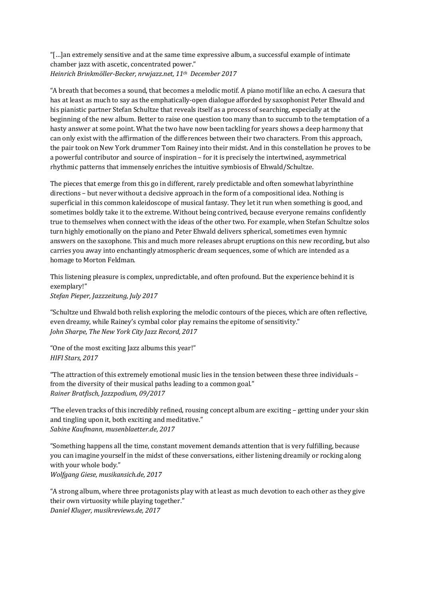"[...]an extremely sensitive and at the same time expressive album, a successful example of intimate chamber jazz with ascetic, concentrated power." *Heinrich Brinkmöller-Becker, nrwjazz.net, 11th December 2017* 

"A breath that becomes a sound, that becomes a melodic motif. A piano motif like an echo. A caesura that has at least as much to say as the emphatically-open dialogue afforded by saxophonist Peter Ehwald and his pianistic partner Stefan Schultze that reveals itself as a process of searching, especially at the beginning of the new album. Better to raise one question too many than to succumb to the temptation of a hasty answer at some point. What the two have now been tackling for years shows a deep harmony that can only exist with the affirmation of the differences between their two characters. From this approach, the pair took on New York drummer Tom Rainey into their midst. And in this constellation he proves to be a powerful contributor and source of inspiration – for it is precisely the intertwined, asymmetrical rhythmic patterns that immensely enriches the intuitive symbiosis of Ehwald/Schultze.

The pieces that emerge from this go in different, rarely predictable and often somewhat labyrinthine directions – but never without a decisive approach in the form of a compositional idea. Nothing is superficial in this common kaleidoscope of musical fantasy. They let it run when something is good, and sometimes boldly take it to the extreme. Without being contrived, because everyone remains confidently true to themselves when connect with the ideas of the other two. For example, when Stefan Schultze solos turn highly emotionally on the piano and Peter Ehwald delivers spherical, sometimes even hymnic answers on the saxophone. This and much more releases abrupt eruptions on this new recording, but also carries you away into enchantingly atmospheric dream sequences, some of which are intended as a homage to Morton Feldman.

This listening pleasure is complex, unpredictable, and often profound. But the experience behind it is exemplary!" *Stefan Pieper, Jazzzeitung, July 2017*

"Schultze und Ehwald both relish exploring the melodic contours of the pieces, which are often reflective, even dreamy, while Rainey's cymbal color play remains the epitome of sensitivity." *John Sharpe, The New York City Jazz Record, 2017*

"One of the most exciting lazz albums this year!" *HIFI Stars, 2017*

"The attraction of this extremely emotional music lies in the tension between these three individuals from the diversity of their musical paths leading to a common goal." *Rainer Bratfisch, Jazzpodium, 09/2017*

"The eleven tracks of this incredibly refined, rousing concept album are exciting – getting under your skin and tingling upon it, both exciting and meditative." *Sabine Kaufmann, musenblaetter.de, 2017*

"Something happens all the time, constant movement demands attention that is very fulfilling, because you can imagine yourself in the midst of these conversations, either listening dreamily or rocking along with your whole body." *Wolfgang Giese, musikansich.de, 2017*

"A strong album, where three protagonists play with at least as much devotion to each other as they give their own virtuosity while playing together."

*Daniel Kluger, musikreviews.de, 2017*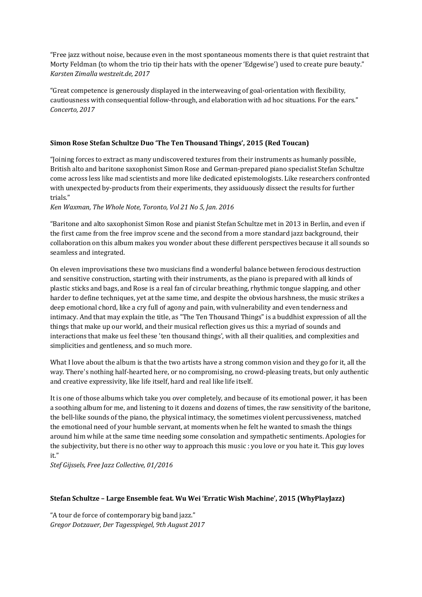"Free jazz without noise, because even in the most spontaneous moments there is that quiet restraint that Morty Feldman (to whom the trio tip their hats with the opener 'Edgewise') used to create pure beauty." *Karsten Zimalla westzeit.de, 2017*

"Great competence is generously displayed in the interweaving of goal-orientation with flexibility, cautiousness with consequential follow-through, and elaboration with ad hoc situations. For the ears." *Concerto, 2017*

# **Simon Rose Stefan Schultze Duo 'The Ten Thousand Things', 2015 (Red Toucan)**

"Joining forces to extract as many undiscovered textures from their instruments as humanly possible, British alto and baritone saxophonist Simon Rose and German-prepared piano specialist Stefan Schultze come across less like mad scientists and more like dedicated epistemologists. Like researchers confronted with unexpected by-products from their experiments, they assiduously dissect the results for further trials." 

*Ken Waxman, The Whole Note, Toronto, Vol 21 No 5, Jan. 2016*

"Baritone and alto saxophonist Simon Rose and pianist Stefan Schultze met in 2013 in Berlin, and even if the first came from the free improv scene and the second from a more standard jazz background, their collaboration on this album makes you wonder about these different perspectives because it all sounds so seamless and integrated.

On eleven improvisations these two musicians find a wonderful balance between ferocious destruction and sensitive construction, starting with their instruments, as the piano is prepared with all kinds of plastic sticks and bags, and Rose is a real fan of circular breathing, rhythmic tongue slapping, and other harder to define techniques, yet at the same time, and despite the obvious harshness, the music strikes a deep emotional chord, like a cry full of agony and pain, with vulnerability and even tenderness and intimacy. And that may explain the title, as "The Ten Thousand Things" is a buddhist expression of all the things that make up our world, and their musical reflection gives us this: a myriad of sounds and interactions that make us feel these 'ten thousand things', with all their qualities, and complexities and simplicities and gentleness, and so much more.

What I love about the album is that the two artists have a strong common vision and they go for it, all the way. There's nothing half-hearted here, or no compromising, no crowd-pleasing treats, but only authentic and creative expressivity, like life itself, hard and real like life itself.

It is one of those albums which take you over completely, and because of its emotional power, it has been a soothing album for me, and listening to it dozens and dozens of times, the raw sensitivity of the baritone, the bell-like sounds of the piano, the physical intimacy, the sometimes violent percussiveness, matched the emotional need of your humble servant, at moments when he felt he wanted to smash the things around him while at the same time needing some consolation and sympathetic sentiments. Apologies for the subjectivity, but there is no other way to approach this music : you love or you hate it. This guy loves it."

*Stef Gijssels, Free Jazz Collective, 01/2016*

## **Stefan Schultze – Large Ensemble feat. Wu Wei 'Erratic Wish Machine', 2015 (WhyPlayJazz)**

"A tour de force of contemporary big band jazz." *Gregor Dotzauer, Der Tagesspiegel, 9th August 2017*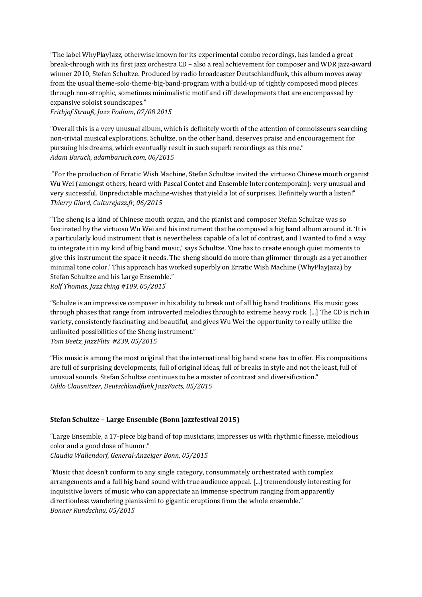"The label WhyPlayJazz, otherwise known for its experimental combo recordings, has landed a great break-through with its first jazz orchestra CD – also a real achievement for composer and WDR jazz-award winner 2010, Stefan Schultze. Produced by radio broadcaster Deutschlandfunk, this album moves away from the usual theme-solo-theme-big-band-program with a build-up of tightly composed mood pieces through non-strophic, sometimes minimalistic motif and riff developments that are encompassed by expansive soloist soundscapes."

*Frithjof Strauß, Jazz Podium, 07/08 2015*

"Overall this is a very unusual album, which is definitely worth of the attention of connoisseurs searching non-trivial musical explorations. Schultze, on the other hand, deserves praise and encouragement for pursuing his dreams, which eventually result in such superb recordings as this one." *Adam Baruch, adambaruch.com, 06/2015*

"For the production of Erratic Wish Machine, Stefan Schultze invited the virtuoso Chinese mouth organist Wu Wei (amongst others, heard with Pascal Contet and Ensemble Intercontemporain): very unusual and very successful. Unpredictable machine-wishes that yield a lot of surprises. Definitely worth a listen!" *Thierry Giard, Culturejazz.fr, 06/2015*

"The sheng is a kind of Chinese mouth organ, and the pianist and composer Stefan Schultze was so fascinated by the virtuoso Wu Wei and his instrument that he composed a big band album around it. 'It is a particularly loud instrument that is nevertheless capable of a lot of contrast, and I wanted to find a way to integrate it in my kind of big band music,' says Schultze. 'One has to create enough quiet moments to give this instrument the space it needs. The sheng should do more than glimmer through as a yet another minimal tone color.' This approach has worked superbly on Erratic Wish Machine (WhyPlayJazz) by Stefan Schultze and his Large Ensemble." *Rolf Thomas, Jazz thing #109, 05/2015*

"Schulze is an impressive composer in his ability to break out of all big band traditions. His music goes through phases that range from introverted melodies through to extreme heavy rock. [...] The CD is rich in variety, consistently fascinating and beautiful, and gives Wu Wei the opportunity to really utilize the unlimited possibilities of the Sheng instrument." *Tom Beetz, JazzFlits #239, 05/2015*

"His music is among the most original that the international big band scene has to offer. His compositions are full of surprising developments, full of original ideas, full of breaks in style and not the least, full of unusual sounds. Stefan Schultze continues to be a master of contrast and diversification." *Odilo Clausnitzer, Deutschlandfunk JazzFacts, 05/2015*

## **Stefan Schultze – Large Ensemble (Bonn Jazzfestival 2015)**

"Large Ensemble, a 17-piece big band of top musicians, impresses us with rhythmic finesse, melodious color and a good dose of humor." *Claudia Wallendorf, General-Anzeiger Bonn, 05/2015*

"Music that doesn't conform to any single category, consummately orchestrated with complex arrangements and a full big band sound with true audience appeal. [...] tremendously interesting for inquisitive lovers of music who can appreciate an immense spectrum ranging from apparently directionless wandering pianissimi to gigantic eruptions from the whole ensemble." *Bonner Rundschau, 05/2015*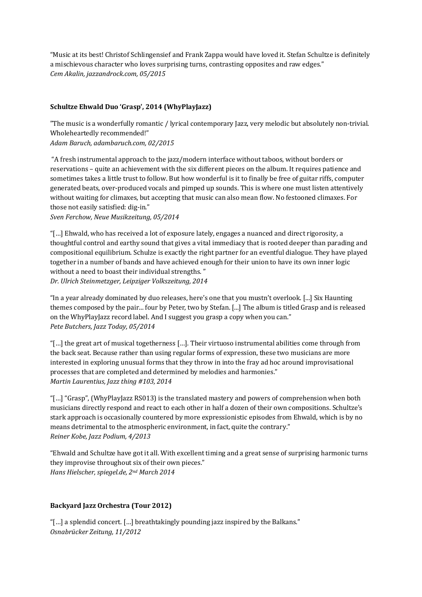"Music at its best! Christof Schlingensief and Frank Zappa would have loved it. Stefan Schultze is definitely a mischievous character who loves surprising turns, contrasting opposites and raw edges." *Cem Akalin, jazzandrock.com, 05/2015*

# Schultze Ehwald Duo 'Grasp', 2014 (WhyPlayJazz)

"The music is a wonderfully romantic / lyrical contemporary Jazz, very melodic but absolutely non-trivial. Wholeheartedly recommended!"

*Adam Baruch, adambaruch.com, 02/2015*

"A fresh instrumental approach to the jazz/modern interface without taboos, without borders or reservations – quite an achievement with the six different pieces on the album. It requires patience and sometimes takes a little trust to follow. But how wonderful is it to finally be free of guitar riffs, computer generated beats, over-produced vocals and pimped up sounds. This is where one must listen attentively without waiting for climaxes, but accepting that music can also mean flow. No festooned climaxes. For those not easily satisfied: dig-in."

*Sven Ferchow, Neue Musikzeitung, 05/2014* 

"[...] Ehwald, who has received a lot of exposure lately, engages a nuanced and direct rigorosity, a thoughtful control and earthy sound that gives a vital immediacy that is rooted deeper than parading and compositional equilibrium. Schulze is exactly the right partner for an eventful dialogue. They have played together in a number of bands and have achieved enough for their union to have its own inner logic without a need to boast their individual strengths." *Dr. Ulrich Steinmetzger, Leipziger Volkszeitung, 2014*

"In a year already dominated by duo releases, here's one that you mustn't overlook. [...] Six Haunting themes composed by the pair... four by Peter, two by Stefan. [...] The album is titled Grasp and is released on the WhyPlayJazz record label. And I suggest you grasp a copy when you can." *Pete Butchers, Jazz Today, 05/2014*

"[...] the great art of musical togetherness [...]. Their virtuoso instrumental abilities come through from the back seat. Because rather than using regular forms of expression, these two musicians are more interested in exploring unusual forms that they throw in into the fray ad hoc around improvisational processes that are completed and determined by melodies and harmonies." *Martin Laurentius, Jazz thing #103, 2014* 

"[...] "Grasp", (WhyPlayJazz RS013) is the translated mastery and powers of comprehension when both musicians directly respond and react to each other in half a dozen of their own compositions. Schultze's stark approach is occasionally countered by more expressionistic episodes from Ehwald, which is by no means detrimental to the atmospheric environment, in fact, quite the contrary." *Reiner Kobe, Jazz Podium, 4/2013* 

"Ehwald and Schultze have got it all. With excellent timing and a great sense of surprising harmonic turns they improvise throughout six of their own pieces." *Hans Hielscher, spiegel.de, 2nd March 2014*

## **Backyard Jazz Orchestra (Tour 2012)**

"[...] a splendid concert.  $[...]$  breathtakingly pounding jazz inspired by the Balkans." *Osnabrücker Zeitung, 11/2012*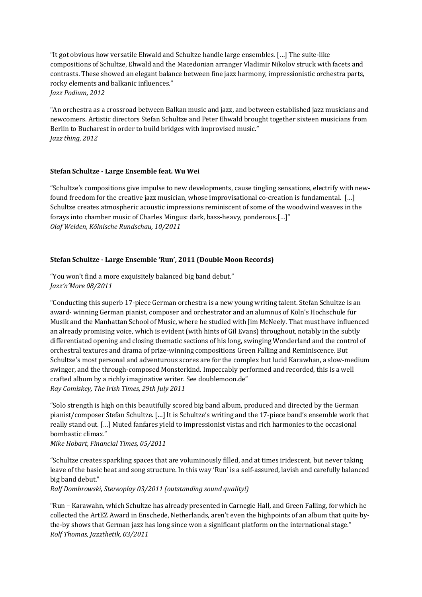"It got obvious how versatile Ehwald and Schultze handle large ensembles. [...] The suite-like compositions of Schultze, Ehwald and the Macedonian arranger Vladimir Nikolov struck with facets and contrasts. These showed an elegant balance between fine jazz harmony, impressionistic orchestra parts, rocky elements and balkanic influences." *Jazz Podium, 2012*

"An orchestra as a crossroad between Balkan music and jazz, and between established jazz musicians and newcomers. Artistic directors Stefan Schultze and Peter Ehwald brought together sixteen musicians from Berlin to Bucharest in order to build bridges with improvised music." *Jazz thing, 2012*

## **Stefan Schultze - Large Ensemble feat. Wu Wei**

"Schultze's compositions give impulse to new developments, cause tingling sensations, electrify with newfound freedom for the creative jazz musician, whose improvisational co-creation is fundamental. [...] Schultze creates atmospheric acoustic impressions reminiscent of some of the woodwind weaves in the forays into chamber music of Charles Mingus: dark, bass-heavy, ponderous.[...]" *Olaf Weiden, Kölnische Rundschau, 10/2011*

#### **Stefan Schultze - Large Ensemble 'Run', 2011 (Double Moon Records)**

"You won't find a more exquisitely balanced big band debut." *Jazz'n'More 08/2011*

"Conducting this superb 17-piece German orchestra is a new young writing talent. Stefan Schultze is an award- winning German pianist, composer and orchestrator and an alumnus of Köln's Hochschule für Musik and the Manhattan School of Music, where he studied with Jim McNeely. That must have influenced an already promising voice, which is evident (with hints of Gil Evans) throughout, notably in the subtly differentiated opening and closing thematic sections of his long, swinging Wonderland and the control of orchestral textures and drama of prize-winning compositions Green Falling and Reminiscence. But Schultze's most personal and adventurous scores are for the complex but lucid Karawhan, a slow-medium swinger, and the through-composed Monsterkind. Impeccably performed and recorded, this is a well crafted album by a richly imaginative writer. See doublemoon.de" *Ray Comiskey, The Irish Times, 29th July 2011*

"Solo strength is high on this beautifully scored big band album, produced and directed by the German pianist/composer Stefan Schultze. [...] It is Schultze's writing and the 17-piece band's ensemble work that really stand out. [...] Muted fanfares yield to impressionist vistas and rich harmonies to the occasional bombastic climax."

#### *Mike Hobart, Financial Times, 05/2011*

"Schultze creates sparkling spaces that are voluminously filled, and at times iridescent, but never taking leave of the basic beat and song structure. In this way 'Run' is a self-assured, lavish and carefully balanced big band debut."

*Ralf Dombrowski, Stereoplay 03/2011 (outstanding sound quality!)* 

"Run – Karawahn, which Schultze has already presented in Carnegie Hall, and Green Falling, for which he collected the ArtEZ Award in Enschede, Netherlands, aren't even the highpoints of an album that quite bythe-by shows that German jazz has long since won a significant platform on the international stage." *Rolf Thomas, Jazzthetik, 03/2011*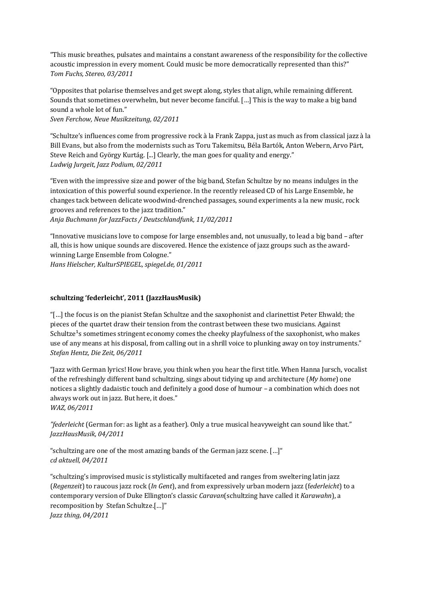"This music breathes, pulsates and maintains a constant awareness of the responsibility for the collective acoustic impression in every moment. Could music be more democratically represented than this?" *Tom Fuchs, Stereo, 03/2011*

"Opposites that polarise themselves and get swept along, styles that align, while remaining different. Sounds that sometimes overwhelm, but never become fanciful. [...] This is the way to make a big band sound a whole lot of fun."

*Sven Ferchow, Neue Musikzeitung, 02/2011*

"Schultze's influences come from progressive rock à la Frank Zappa, just as much as from classical jazz à la Bill Evans, but also from the modernists such as Toru Takemitsu, Béla Bartók, Anton Webern, Arvo Pärt, Steve Reich and György Kurtág. [...] Clearly, the man goes for quality and energy." *Ludwig Jurgeit, Jazz Podium, 02/2011*

"Even with the impressive size and power of the big band, Stefan Schultze by no means indulges in the intoxication of this powerful sound experience. In the recently released CD of his Large Ensemble, he changes tack between delicate woodwind-drenched passages, sound experiments a la new music, rock grooves and references to the jazz tradition."

*Anja Buchmann for JazzFacts / Deutschlandfunk, 11/02/2011*

"Innovative musicians love to compose for large ensembles and, not unusually, to lead a big band – after all, this is how unique sounds are discovered. Hence the existence of jazz groups such as the awardwinning Large Ensemble from Cologne." *Hans Hielscher, KulturSPIEGEL, spiegel.de, 01/2011*

**schultzing 'federleicht', 2011 (JazzHausMusik)**

"[...] the focus is on the pianist Stefan Schultze and the saxophonist and clarinettist Peter Ehwald; the pieces of the quartet draw their tension from the contrast between these two musicians. Against Schultze<sup>1</sup>s sometimes stringent economy comes the cheeky playfulness of the saxophonist, who makes use of any means at his disposal, from calling out in a shrill voice to plunking away on toy instruments." *Stefan Hentz, Die Zeit, 06/2011*

"Jazz with German lyrics! How brave, you think when you hear the first title. When Hanna Jursch, vocalist of the refreshingly different band schultzing, sings about tidying up and architecture (*My home*) one notices a slightly dadaistic touch and definitely a good dose of humour - a combination which does not always work out in jazz. But here, it does." *WAZ, 06/2011*

"federleicht (German for: as light as a feather). Only a true musical heavyweight can sound like that." *JazzHausMusik, 04/2011*

"schultzing are one of the most amazing bands of the German jazz scene. [...]" *cd aktuell, 04/2011*

"schultzing's improvised music is stylistically multifaceted and ranges from sweltering latin jazz (*Regenzeit*) to raucous jazz rock (*In Gent*), and from expressively urban modern jazz (federleicht) to a contemporary version of Duke Ellington's classic *Caravan*(schultzing have called it *Karawahn*), a recomposition by Stefan Schultze.[...]"

*Jazz thing, 04/2011*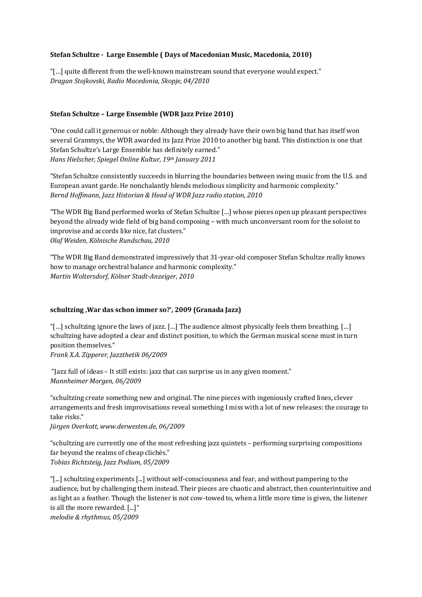#### Stefan Schultze - Large Ensemble ( Days of Macedonian Music, Macedonia, 2010)

"[...] quite different from the well-known mainstream sound that everyone would expect." *Dragan Stojkovski, Radio Macedonia, Skopje, 04/2010*

#### **Stefan Schultze – Large Ensemble (WDR Jazz Prize 2010)**

"One could call it generous or noble: Although they already have their own big band that has itself won several Grammys, the WDR awarded its Jazz Prize 2010 to another big band. This distinction is one that Stefan Schultze's Large Ensemble has definitely earned." *Hans Hielscher, Spiegel Online Kultur, 19th January 2011*

"Stefan Schultze consistently succeeds in blurring the boundaries between swing music from the U.S. and European avant garde. He nonchalantly blends melodious simplicity and harmonic complexity." *Bernd Hoffmann, Jazz Historian & Head of WDR Jazz radio station, 2010* 

"The WDR Big Band performed works of Stefan Schultze [...] whose pieces open up pleasant perspectives beyond the already wide field of big band composing – with much unconversant room for the soloist to improvise and accords like nice, fat clusters." *Olaf Weiden, Kölnische Rundschau, 2010*

"The WDR Big Band demonstrated impressively that 31-year-old composer Stefan Schultze really knows how to manage orchestral balance and harmonic complexity." *Martin Woltersdorf, Kölner Stadt-Anzeiger, 2010* 

#### schultzing , War das schon immer so?', 2009 (Granada Jazz)

"[...] schultzing ignore the laws of jazz. [...] The audience almost physically feels them breathing. [...] schultzing have adopted a clear and distinct position, to which the German musical scene must in turn position themselves."

*Frank X.A. Zipperer, Jazzthetik 06/2009*

"Jazz full of ideas  $-$  It still exists: jazz that can surprise us in any given moment." *Mannheimer Morgen, 06/2009*

"schultzing create something new and original. The nine pieces with ingeniously crafted lines, clever arrangements and fresh improvisations reveal something I miss with a lot of new releases: the courage to take risks."

*Jürgen Overkott, www.derwesten.de, 06/2009*

"schultzing are currently one of the most refreshing jazz quintets – performing surprising compositions far beyond the realms of cheap clichés." *Tobias Richtsteig, Jazz Podium, 05/2009*

"[...] schultzing experiments [...] without self-consciousness and fear, and without pampering to the audience, but by challenging them instead. Their pieces are chaotic and abstract, then counterintuitive and as light as a feather. Though the listener is not cow-towed to, when a little more time is given, the listener is all the more rewarded. [...]"

*melodie & rhythmus, 05/2009*